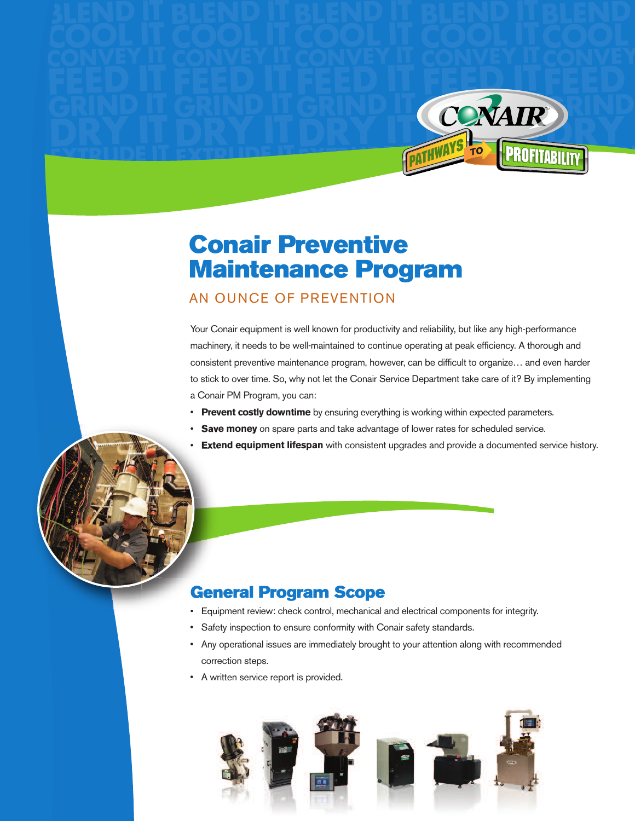

# **Conair Preventive Maintenance Program**

### AN OUNCE OF PREVENTION

**EXTRUDE IT**

**EXTRUDE IT**

Your Conair equipment is well known for productivity and reliability, but like any high-performance machinery, it needs to be well-maintained to continue operating at peak efficiency. A thorough and consistent preventive maintenance program, however, can be difficult to organize… and even harder to stick to over time. So, why not let the Conair Service Department take care of it? By implementing a Conair PM Program, you can:

- **Prevent costly downtime** by ensuring everything is working within expected parameters.
- **Save money** on spare parts and take advantage of lower rates for scheduled service.
- **Extend equipment lifespan** with consistent upgrades and provide a documented service history.

### **General Program Scope**

- Equipment review: check control, mechanical and electrical components for integrity.
- Safety inspection to ensure conformity with Conair safety standards.
- Any operational issues are immediately brought to your attention along with recommended correction steps.
- A written service report is provided.